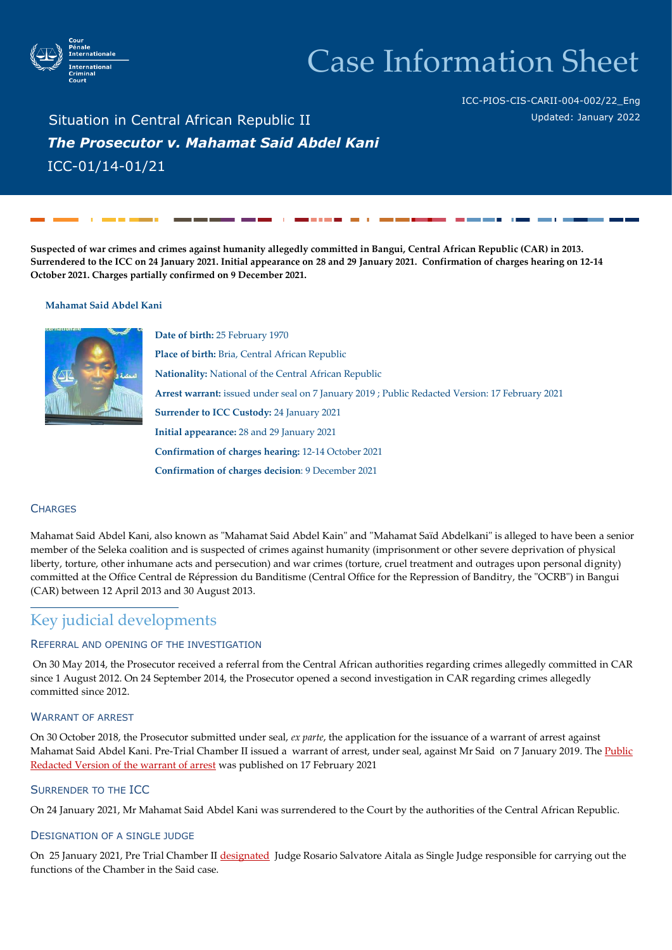

# Case Information Sheet

ICC-PIOS-CIS-CARII-004-002/22\_Eng Updated: January 2022

Situation in Central African Republic II *The Prosecutor v. Mahamat Said Abdel Kani* ICC-01/14-01/21

**Suspected of war crimes and crimes against humanity allegedly committed in Bangui, Central African Republic (CAR) in 2013. Surrendered to the ICC on 24 January 2021. Initial appearance on 28 and 29 January 2021. Confirmation of charges hearing on 12-14 October 2021. Charges partially confirmed on 9 December 2021.** 

#### **Mahamat Said Abdel Kani**



**Date of birth:** 25 February 1970 **Place of birth:** Bria, Central African Republic **Nationality:** National of the Central African Republic **Arrest warrant:** issued under seal on 7 January 2019 ; Public Redacted Version: 17 February 2021 **Surrender to ICC Custody:** 24 January 2021 **Initial appearance:** 28 and 29 January 2021 **Confirmation of charges hearing:** 12-14 October 2021 **Confirmation of charges decision**: 9 December 2021

## **CHARGES**

Mahamat Said Abdel Kani, also known as "Mahamat Said Abdel Kain" and "Mahamat Saïd Abdelkani" is alleged to have been a senior member of the Seleka coalition and is suspected of crimes against humanity (imprisonment or other severe deprivation of physical liberty, torture, other inhumane acts and persecution) and war crimes (torture, cruel treatment and outrages upon personal dignity) committed at the Office Central de Répression du Banditisme (Central Office for the Repression of Banditry, the "OCRB") in Bangui (CAR) between 12 April 2013 and 30 August 2013.

# Key judicial developments

### REFERRAL AND OPENING OF THE INVESTIGATION

On 30 May 2014, the Prosecutor received a referral from the Central African authorities regarding crimes allegedly committed in CAR since 1 August 2012. On 24 September 2014, the Prosecutor opened a second investigation in CAR regarding crimes allegedly committed since 2012.

# WARRANT OF ARREST

On 30 October 2018, the Prosecutor submitted under seal, *ex parte*, the application for the issuance of a warrant of arrest against Mahamat Said Abdel Kani. Pre-Trial Chamber II issued a warrant of arrest, under seal, against Mr Said on 7 January 2019. The Public [Redacted Version of the warrant of arrest](https://www.icc-cpi.int/Pages/record.aspx?docNo=ICC-01/14-01/21-2-Red2) wa[s published](https://www.icc-cpi.int/Pages/record.aspx?docNo=ICC-01/14-01/21-2-Red2) on 17 February 2021

#### SURRENDER TO THE ICC

On 24 January 2021, Mr Mahamat Said Abdel Kani was surrendered to the Court by the authorities of the Central African Republic.

#### DESIGNATION OF A SINGLE JUDGE

On 25 January 2021, Pre Trial Chamber II [designated](https://www.icc-cpi.int/CourtRecords/CR2021_00680.PDF) Judge Rosario Salvatore Aitala as Single Judge responsible for carrying out the functions of the Chamber in the Said case.